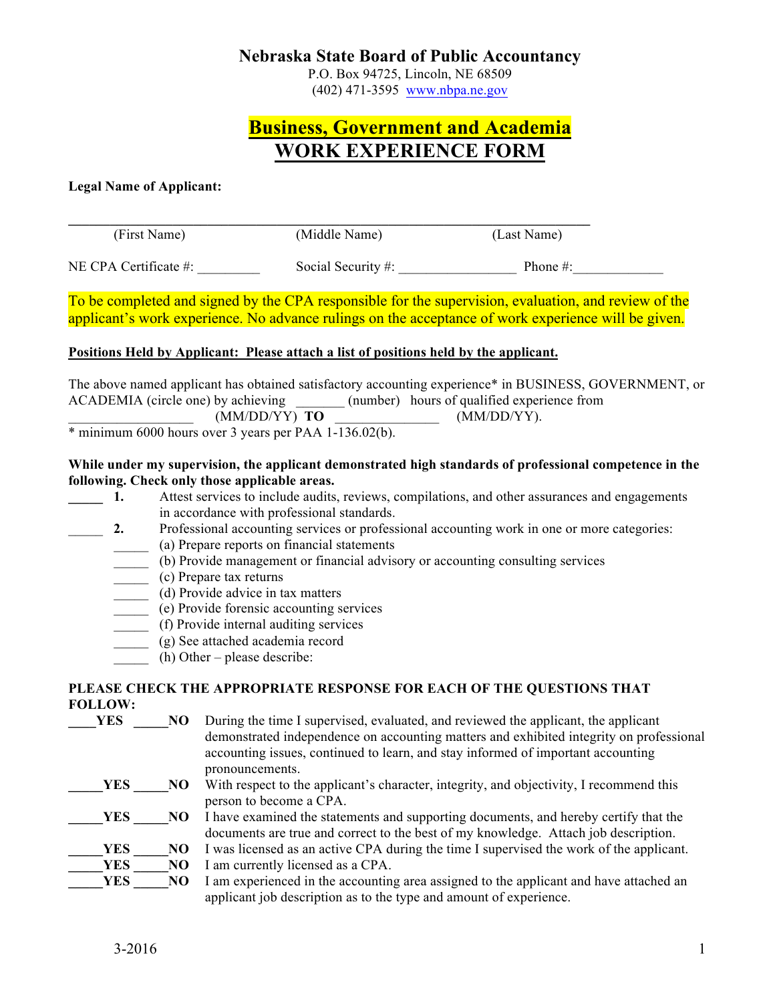### **Nebraska State Board of Public Accountancy**

P.O. Box 94725, Lincoln, NE 68509 (402) 471-3595 www.nbpa.ne.gov

# **Business, Government and Academia WORK EXPERIENCE FORM**

#### **Legal Name of Applicant:**

(First Name) (Middle Name) (Last Name) NE CPA Certificate #:  $\frac{1}{2}$  Social Security #:  $\frac{1}{2}$  Phone #:

To be completed and signed by the CPA responsible for the supervision, evaluation, and review of the applicant's work experience. No advance rulings on the acceptance of work experience will be given.

#### **Positions Held by Applicant: Please attach a list of positions held by the applicant.**

The above named applicant has obtained satisfactory accounting experience\* in BUSINESS, GOVERNMENT, or ACADEMIA (circle one) by achieving (number) hours of qualified experience from \_\_\_\_\_\_\_\_\_\_\_\_\_\_\_\_\_\_ (MM/DD/YY) **TO** \_\_\_\_\_\_\_\_\_\_\_\_\_\_\_ (MM/DD/YY).

\* minimum 6000 hours over 3 years per PAA 1-136.02(b).

#### **While under my supervision, the applicant demonstrated high standards of professional competence in the following. Check only those applicable areas.**

- **1.** Attest services to include audits, reviews, compilations, and other assurances and engagements in accordance with professional standards.
	- 2. Professional accounting services or professional accounting work in one or more categories:
		- \_\_\_\_\_ (a) Prepare reports on financial statements
		- \_\_\_\_\_ (b) Provide management or financial advisory or accounting consulting services
		- \_\_\_\_\_ (c) Prepare tax returns
		- \_\_\_\_\_ (d) Provide advice in tax matters
		- \_\_\_\_\_ (e) Provide forensic accounting services
		- \_\_\_\_\_ (f) Provide internal auditing services
		- \_\_\_\_\_ (g) See attached academia record
		- $(h)$  Other please describe:

### **PLEASE CHECK THE APPROPRIATE RESPONSE FOR EACH OF THE QUESTIONS THAT FOLLOW:**

**TES** NO During the time I supervised, evaluated, and reviewed the applicant, the applicant demonstrated independence on accounting matters and exhibited integrity on professional accounting issues, continued to learn, and stay informed of important accounting pronouncements. **\_\_\_\_\_YES** \_\_\_\_\_NO With respect to the applicant's character, integrity, and objectivity, I recommend this person to become a CPA. **YES** NO I have examined the statements and supporting documents, and hereby certify that the documents are true and correct to the best of my knowledge. Attach job description. **YES** NO I was licensed as an active CPA during the time I supervised the work of the applicant. **YES** NO I am currently licensed as a CPA. **YES** NO I am experienced in the accounting area assigned to the applicant and have attached an applicant job description as to the type and amount of experience.